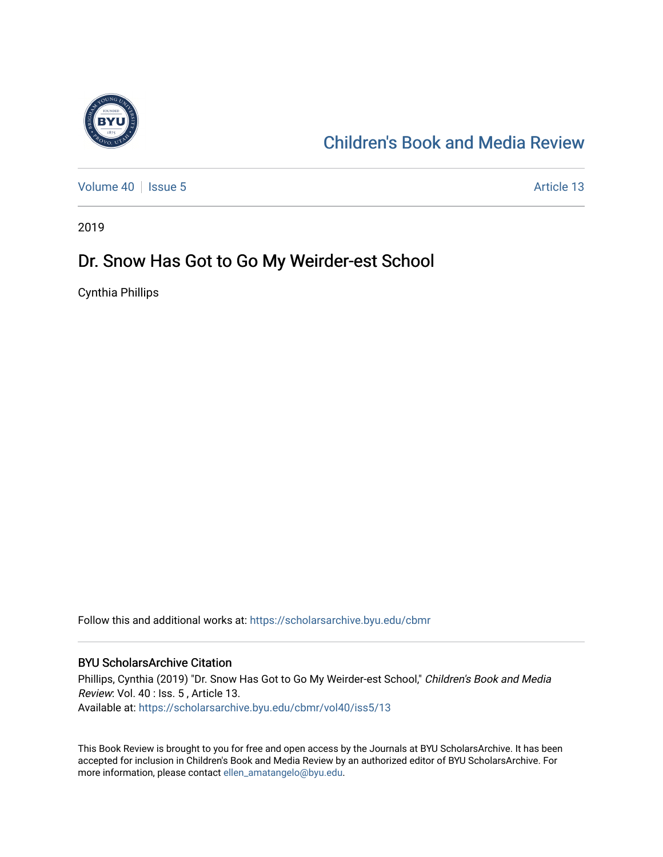

### [Children's Book and Media Review](https://scholarsarchive.byu.edu/cbmr)

[Volume 40](https://scholarsarchive.byu.edu/cbmr/vol40) | [Issue 5](https://scholarsarchive.byu.edu/cbmr/vol40/iss5) Article 13

2019

### Dr. Snow Has Got to Go My Weirder-est School

Cynthia Phillips

Follow this and additional works at: [https://scholarsarchive.byu.edu/cbmr](https://scholarsarchive.byu.edu/cbmr?utm_source=scholarsarchive.byu.edu%2Fcbmr%2Fvol40%2Fiss5%2F13&utm_medium=PDF&utm_campaign=PDFCoverPages) 

#### BYU ScholarsArchive Citation

Phillips, Cynthia (2019) "Dr. Snow Has Got to Go My Weirder-est School," Children's Book and Media Review: Vol. 40 : Iss. 5 , Article 13. Available at: [https://scholarsarchive.byu.edu/cbmr/vol40/iss5/13](https://scholarsarchive.byu.edu/cbmr/vol40/iss5/13?utm_source=scholarsarchive.byu.edu%2Fcbmr%2Fvol40%2Fiss5%2F13&utm_medium=PDF&utm_campaign=PDFCoverPages)

This Book Review is brought to you for free and open access by the Journals at BYU ScholarsArchive. It has been accepted for inclusion in Children's Book and Media Review by an authorized editor of BYU ScholarsArchive. For more information, please contact [ellen\\_amatangelo@byu.edu.](mailto:ellen_amatangelo@byu.edu)